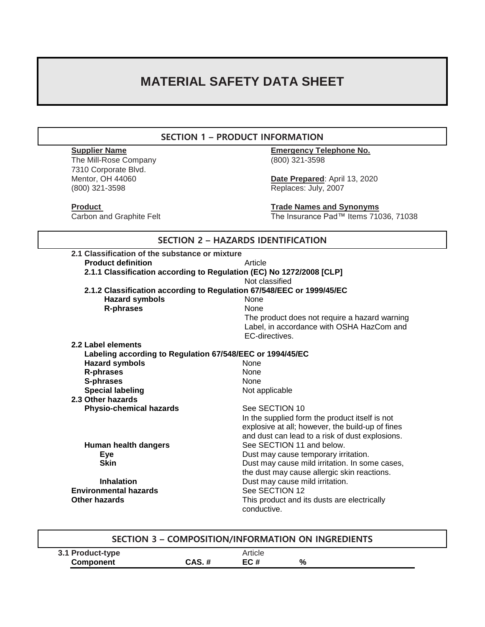# **MATERIAL SAFETY DATA SHEET**

# **SECTION 1 – PRODUCT INFORMATION**

The Mill-Rose Company (800) 321-3598 7310 Corporate Blvd. (800) 321-3598 Replaces: July, 2007

**Supplier Name Emergency Telephone No.**

Date Prepared: April 13, 2020

**Product Product Product Trade Names and Synonyms** Carbon and Graphite Felt The Insurance Pad™ Items 71036, 71038

| 2.1 Classification of the substance or mixture<br><b>Product definition</b> | Article<br>2.1.1 Classification according to Regulation (EC) No 1272/2008 [CLP]<br>Not classified |
|-----------------------------------------------------------------------------|---------------------------------------------------------------------------------------------------|
|                                                                             |                                                                                                   |
|                                                                             |                                                                                                   |
|                                                                             |                                                                                                   |
|                                                                             |                                                                                                   |
| 2.1.2 Classification according to Regulation 67/548/EEC or 1999/45/EC       |                                                                                                   |
| <b>Hazard symbols</b>                                                       | None                                                                                              |
| R-phrases                                                                   | <b>None</b>                                                                                       |
|                                                                             | The product does not require a hazard warning                                                     |
|                                                                             | Label, in accordance with OSHA HazCom and                                                         |
|                                                                             | EC-directives.                                                                                    |
| 2.2 Label elements                                                          |                                                                                                   |
| Labeling according to Regulation 67/548/EEC or 1994/45/EC                   |                                                                                                   |
| <b>Hazard symbols</b>                                                       | <b>None</b>                                                                                       |
| <b>R-phrases</b>                                                            | None                                                                                              |
| S-phrases                                                                   | None                                                                                              |
| <b>Special labeling</b>                                                     | Not applicable                                                                                    |
| 2.3 Other hazards                                                           |                                                                                                   |
| <b>Physio-chemical hazards</b>                                              | See SECTION 10                                                                                    |
|                                                                             | In the supplied form the product itself is not                                                    |
|                                                                             | explosive at all; however, the build-up of fines                                                  |
|                                                                             | and dust can lead to a risk of dust explosions.                                                   |
| Human health dangers                                                        | See SECTION 11 and below.                                                                         |
| Eye                                                                         | Dust may cause temporary irritation.                                                              |
| <b>Skin</b>                                                                 | Dust may cause mild irritation. In some cases,                                                    |
|                                                                             | the dust may cause allergic skin reactions.                                                       |
| <b>Inhalation</b>                                                           | Dust may cause mild irritation.                                                                   |
| <b>Environmental hazards</b>                                                | See SECTION 12                                                                                    |
| Other hazards                                                               | This product and its dusts are electrically<br>conductive.                                        |

| SECTION 3 - COMPOSITION/INFORMATION ON INGREDIENTS |       |         |   |  |
|----------------------------------------------------|-------|---------|---|--|
| 3.1 Product-type                                   |       | Article |   |  |
| <b>Component</b>                                   | CAS.# | EC#     | % |  |
|                                                    |       |         |   |  |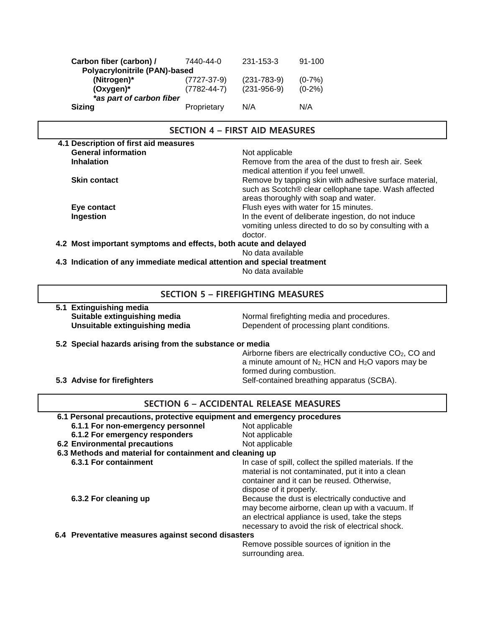| Carbon fiber (carbon) /       | 7440-44-0         | 231-153-3         | 91-100    |
|-------------------------------|-------------------|-------------------|-----------|
| Polyacrylonitrile (PAN)-based |                   |                   |           |
| (Nitrogen)*                   | $(7727-37-9)$     | $(231 - 783 - 9)$ | $(0-7%)$  |
| $(Oxygen)^*$                  | $(7782 - 44 - 7)$ | $(231 - 956 - 9)$ | $(0-2\%)$ |
| *as part of carbon fiber      |                   |                   |           |
| <b>Sizing</b>                 | Proprietary       | N/A               | N/A       |

### **SECTION 4 – FIRST AID MEASURES 4.1 Description of first aid measures General information**<br> **Inhalation**<br> **Inhalation**<br> **Inhalation** Remove from the area of the dust to fresh air. Seek medical attention if you feel unwell. **Skin contact Remove by tapping skin with adhesive surface material, see all of the Remove by tapping skin with adhesive surface material,** such as Scotch® clear cellophane tape. Wash affected areas thoroughly with soap and water. **Eye contact** Flush eyes with water for 15 minutes. **Ingestion In the event of deliberate ingestion, do not induce** vomiting unless directed to do so by consulting with a doctor.  **4.2 Most important symptoms and effects, both acute and delayed** No data available  **4.3 Indication of any immediate medical attention and special treatment** No data available

# **SECTION 5 – FIREFIGHTING MEASURES**

 **5.1 Extinguishing media**

**Suitable extinguishing media** Normal firefighting media and procedures. **Unsuitable extinguishing media** Dependent of processing plant conditions.

#### **5.2 Special hazards arising from the substance or media**

Airborne fibers are electrically conductive CO<sub>2</sub>, CO and a minute amount of  $N_2$ , HCN and  $H_2O$  vapors may be formed during combustion. **5.3 Advise for firefighters** Self-contained breathing apparatus (SCBA).

# **SECTION 6 – ACCIDENTAL RELEASE MEASURES**

| 6.1 Personal precautions, protective equipment and emergency procedures |                                                                                                                                                                                                           |
|-------------------------------------------------------------------------|-----------------------------------------------------------------------------------------------------------------------------------------------------------------------------------------------------------|
| 6.1.1 For non-emergency personnel                                       | Not applicable                                                                                                                                                                                            |
| 6.1.2 For emergency responders                                          | Not applicable                                                                                                                                                                                            |
| <b>6.2 Environmental precautions</b>                                    | Not applicable                                                                                                                                                                                            |
| 6.3 Methods and material for containment and cleaning up                |                                                                                                                                                                                                           |
| 6.3.1 For containment                                                   | In case of spill, collect the spilled materials. If the<br>material is not contaminated, put it into a clean<br>container and it can be reused. Otherwise,<br>dispose of it properly.                     |
| 6.3.2 For cleaning up                                                   | Because the dust is electrically conductive and<br>may become airborne, clean up with a vacuum. If<br>an electrical appliance is used, take the steps<br>necessary to avoid the risk of electrical shock. |
| 6.4 Preventative measures against second disasters                      |                                                                                                                                                                                                           |
|                                                                         | Remove possible sources of ignition in the                                                                                                                                                                |

surrounding area.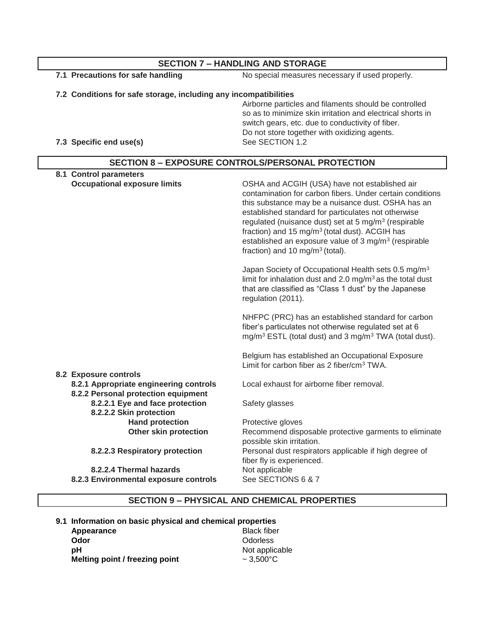| <b>SECTION 7 - HANDLING AND STORAGE</b>                                       |                                                                                                                                                                                                                                                                                                                                                                                                                                                                              |  |  |
|-------------------------------------------------------------------------------|------------------------------------------------------------------------------------------------------------------------------------------------------------------------------------------------------------------------------------------------------------------------------------------------------------------------------------------------------------------------------------------------------------------------------------------------------------------------------|--|--|
| 7.1 Precautions for safe handling                                             | No special measures necessary if used properly.                                                                                                                                                                                                                                                                                                                                                                                                                              |  |  |
| 7.2 Conditions for safe storage, including any incompatibilities              |                                                                                                                                                                                                                                                                                                                                                                                                                                                                              |  |  |
|                                                                               | Airborne particles and filaments should be controlled                                                                                                                                                                                                                                                                                                                                                                                                                        |  |  |
|                                                                               | so as to minimize skin irritation and electrical shorts in                                                                                                                                                                                                                                                                                                                                                                                                                   |  |  |
|                                                                               | switch gears, etc. due to conductivity of fiber.                                                                                                                                                                                                                                                                                                                                                                                                                             |  |  |
|                                                                               | Do not store together with oxidizing agents.                                                                                                                                                                                                                                                                                                                                                                                                                                 |  |  |
| 7.3 Specific end use(s)                                                       | See SECTION 1.2                                                                                                                                                                                                                                                                                                                                                                                                                                                              |  |  |
|                                                                               | <b>SECTION 8 - EXPOSURE CONTROLS/PERSONAL PROTECTION</b>                                                                                                                                                                                                                                                                                                                                                                                                                     |  |  |
| 8.1 Control parameters                                                        |                                                                                                                                                                                                                                                                                                                                                                                                                                                                              |  |  |
| <b>Occupational exposure limits</b>                                           | OSHA and ACGIH (USA) have not established air<br>contamination for carbon fibers. Under certain conditions<br>this substance may be a nuisance dust. OSHA has an<br>established standard for particulates not otherwise<br>regulated (nuisance dust) set at 5 mg/m <sup>3</sup> (respirable<br>fraction) and 15 mg/m <sup>3</sup> (total dust). ACGIH has<br>established an exposure value of 3 mg/m <sup>3</sup> (respirable<br>fraction) and 10 mg/m <sup>3</sup> (total). |  |  |
|                                                                               | Japan Society of Occupational Health sets 0.5 mg/m <sup>3</sup><br>limit for inhalation dust and 2.0 $mg/m3$ as the total dust<br>that are classified as "Class 1 dust" by the Japanese<br>regulation (2011).                                                                                                                                                                                                                                                                |  |  |
|                                                                               | NHFPC (PRC) has an established standard for carbon<br>fiber's particulates not otherwise regulated set at 6<br>mg/m <sup>3</sup> ESTL (total dust) and 3 mg/m <sup>3</sup> TWA (total dust).                                                                                                                                                                                                                                                                                 |  |  |
| 8.2 Exposure controls                                                         | Belgium has established an Occupational Exposure<br>Limit for carbon fiber as 2 fiber/cm <sup>3</sup> TWA.                                                                                                                                                                                                                                                                                                                                                                   |  |  |
| 8.2.1 Appropriate engineering controls<br>8.2.2 Personal protection equipment | Local exhaust for airborne fiber removal.                                                                                                                                                                                                                                                                                                                                                                                                                                    |  |  |
| 8.2.2.1 Eye and face protection<br>8.2.2.2 Skin protection                    | Safety glasses                                                                                                                                                                                                                                                                                                                                                                                                                                                               |  |  |
| <b>Hand protection</b>                                                        | Protective gloves                                                                                                                                                                                                                                                                                                                                                                                                                                                            |  |  |
| <b>Other skin protection</b>                                                  | Recommend disposable protective garments to eliminate                                                                                                                                                                                                                                                                                                                                                                                                                        |  |  |
|                                                                               | possible skin irritation.                                                                                                                                                                                                                                                                                                                                                                                                                                                    |  |  |
| 8.2.2.3 Respiratory protection                                                | Personal dust respirators applicable if high degree of<br>fiber fly is experienced.                                                                                                                                                                                                                                                                                                                                                                                          |  |  |
| 8.2.2.4 Thermal hazards                                                       | Not applicable                                                                                                                                                                                                                                                                                                                                                                                                                                                               |  |  |
| 8.2.3 Environmental exposure controls                                         | See SECTIONS 6 & 7                                                                                                                                                                                                                                                                                                                                                                                                                                                           |  |  |
|                                                                               |                                                                                                                                                                                                                                                                                                                                                                                                                                                                              |  |  |

# **SECTION 9 – PHYSICAL AND CHEMICAL PROPERTIES**

 **9.1 Information on basic physical and chemical properties** Appearance<br>Odor **Odor** Odorless<br> **pH** Not applic Not applicable<br> $\sim 3,500^{\circ}$ C **Melting point / freezing point**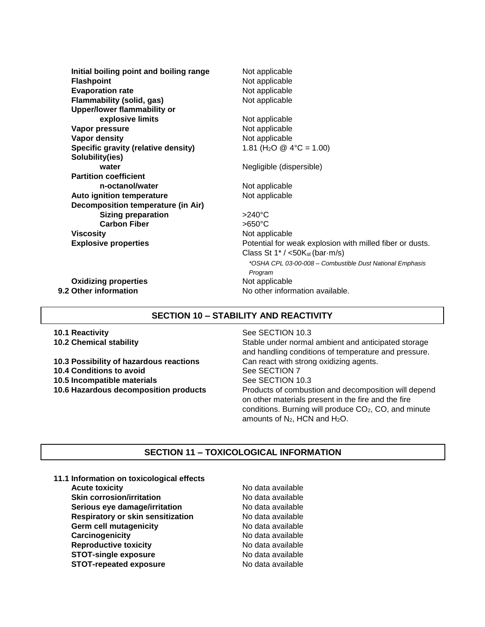**Initial boiling point and boiling range** Not applicable **Flashpoint** Not applicable **Evaporation rate** Not applicable **Flammability (solid, gas)** Not applicable  **Upper/lower flammability or explosive limits** Not applicable **Vapor pressure** Not applicable **Vapor density** Not applicable **Specific gravity (relative density)** 1.81 (H<sub>2</sub>O @ 4°C = 1.00) **Solubility(ies) water water** Negligible (dispersible) **Partition coefficient n-octanol/water** Not applicable Auto ignition temperature **Noting and Separature** Not applicable **Decomposition temperature (in Air) Sizing preparation** >240°C **Carbon Fiber** >650°C **Viscosity** Not applicable

**Explosive properties Explosive properties Potential for weak explosion with milled fiber or dusts.** Class St  $1^*/$  <50K<sub>st</sub> (bar $\cdot$ m/s) *\*OSHA CPL 03-00-008 – Combustible Dust National Emphasis Program*

**9.2 Other information** No other information available.

**Oxidizing properties** Not applicable

# **SECTION 10 – STABILITY AND REACTIVITY**

 **10.1 Reactivity** See SECTION 10.3

 **10.3 Possibility of hazardous reactions** Can react with strong oxidizing agents. **10.4 Conditions to avoid** See SECTION 7 **10.5 Incompatible materials See SECTION 10.3** 

 **10.2 Chemical stability** Stable under normal ambient and anticipated storage and handling conditions of temperature and pressure. **10.6 Hazardous decomposition products** Products of combustion and decomposition will depend on other materials present in the fire and the fire conditions. Burning will produce  $CO<sub>2</sub>$ , CO, and minute amounts of N<sub>2</sub>, HCN and H<sub>2</sub>O.

# **SECTION 11 – TOXICOLOGICAL INFORMATION**

**11.1 Information on toxicological effects**

**Acute toxicity No data available Skin corrosion/irritation** No data available **Serious eye damage/irritation** No data available **Respiratory or skin sensitization** No data available **Germ cell mutagenicity No data available Carcinogenicity Carcinogenicity No data available Reproductive toxicity** No data available **STOT-single exposure** No data available **STOT-repeated exposure** No data available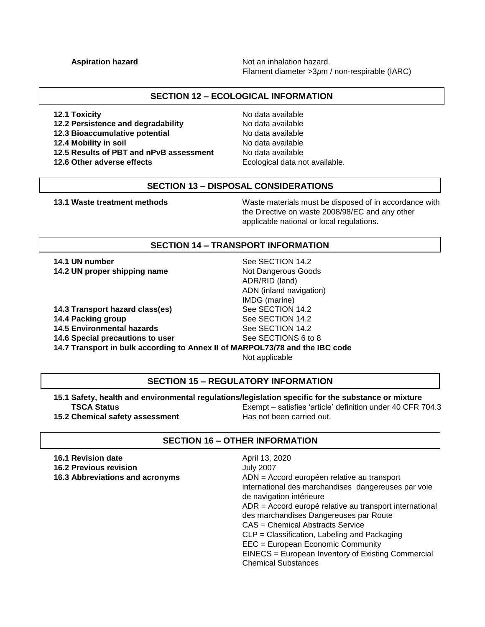**Aspiration hazard Aspiration hazard.** Not an inhalation hazard. Filament diameter >3*μ*m / non-respirable (IARC)

# **SECTION 12 – ECOLOGICAL INFORMATION**

**12.1 Toxicity 12.1 Toxicity 12.1 Toxicity** 

**12.2 Persistence and degradability** No data available

**12.3 Bioaccumulative potential** No data available

- **12.5 Results of PBT and nPvB assessment** No data available
- 

**12.4 Mobility in soil 12.4 Mobility in soil 12.6 Other adverse effects** Ecological data not available.

## **SECTION 13 – DISPOSAL CONSIDERATIONS**

 **13.1 Waste treatment methods** Waste materials must be disposed of in accordance with the Directive on waste 2008/98/EC and any other applicable national or local regulations.

### **SECTION 14 – TRANSPORT INFORMATION**

**14.1 UN number** See SECTION 14.2 **14.2 UN proper shipping name** Not Dangerous Goods

**14.3 Transport hazard class(es)** See SECTION 14.2

**14.4 Packing group See SECTION 14.2** 

**14.5 Environmental hazards** See SECTION 14.2

**14.6 Special precautions to user** See SECTIONS 6 to 8

**14.7 Transport in bulk according to Annex II of MARPOL73/78 and the IBC code**

Not applicable

ADR/RID (land)

IMDG (marine)

ADN (inland navigation)

# **SECTION 15 – REGULATORY INFORMATION**

### **15.1 Safety, health and environmental regulations/legislation specific for the substance or mixture**

**15.2 Chemical safety assessment** Has not been carried out.

**TSCA Status** Exempt – satisfies 'article' definition under 40 CFR 704.3

# **SECTION 16 – OTHER INFORMATION**

| 16.1 Revision date<br><b>16.2 Previous revision</b><br>16.3 Abbreviations and acronyms | April 13, 2020<br><b>July 2007</b><br>ADN = Accord européen relative au transport<br>international des marchandises dangereuses par voie<br>de navigation intérieure<br>ADR = Accord europé relative au transport international<br>des marchandises Dangereuses par Route<br>CAS = Chemical Abstracts Service |
|----------------------------------------------------------------------------------------|---------------------------------------------------------------------------------------------------------------------------------------------------------------------------------------------------------------------------------------------------------------------------------------------------------------|
|                                                                                        | CLP = Classification, Labeling and Packaging<br>EEC = European Economic Community<br>EINECS = European Inventory of Existing Commercial<br><b>Chemical Substances</b>                                                                                                                                         |